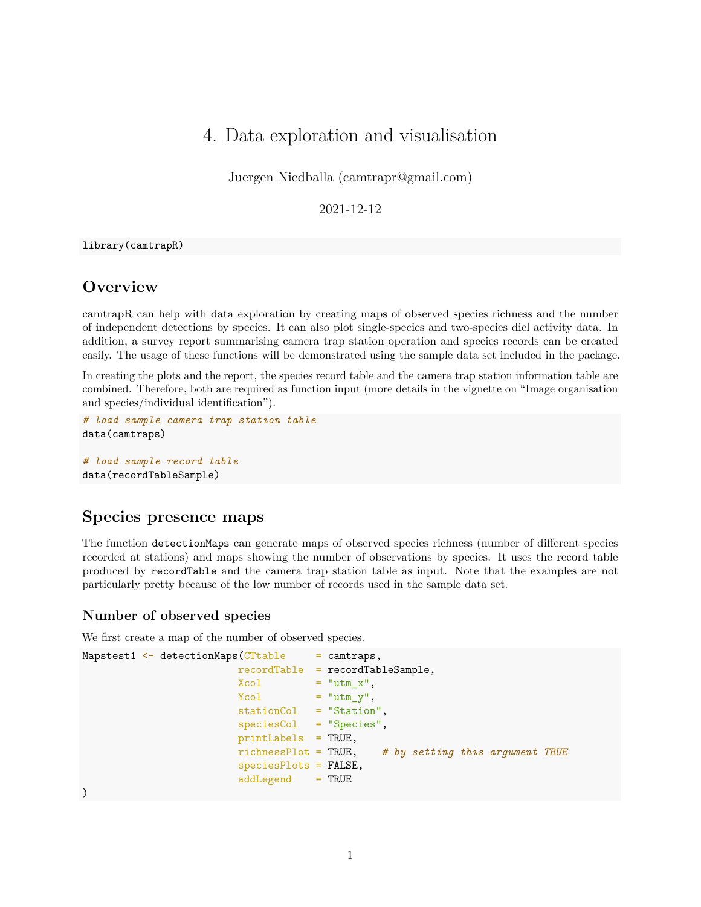# 4. Data exploration and visualisation

Juergen Niedballa [\(camtrapr@gmail.com\)](mailto:camtrapr@gmail.com)

2021-12-12

library(camtrapR)

## **Overview**

camtrapR can help with data exploration by creating maps of observed species richness and the number of independent detections by species. It can also plot single-species and two-species diel activity data. In addition, a survey report summarising camera trap station operation and species records can be created easily. The usage of these functions will be demonstrated using the sample data set included in the package.

In creating the plots and the report, the species record table and the camera trap station information table are combined. Therefore, both are required as function input (more details in the vignette on "Image organisation and species/individual identification").

```
# load sample camera trap station table
data(camtraps)
```

```
# load sample record table
data(recordTableSample)
```
## **Species presence maps**

The function detectionMaps can generate maps of observed species richness (number of different species recorded at stations) and maps showing the number of observations by species. It uses the record table produced by recordTable and the camera trap station table as input. Note that the examples are not particularly pretty because of the low number of records used in the sample data set.

#### **Number of observed species**

We first create a map of the number of observed species.

```
Mapstest1 \leftarrow detectionMaps(CTtable = camtraps,
                         recordTable = recordTableSample,
                         Xcol = "utm_x",<br>Xcol = "utm_x",
                         Ycol = "utm_y",stationCol = "Station",
                          speciesCol = "Species",
                         printLabels = TRUE,
                         richnessPlot = TRUE, # by setting this argument TRUE
                          speciesPlots = FALSE,
                          addLegend = TRUE
)
```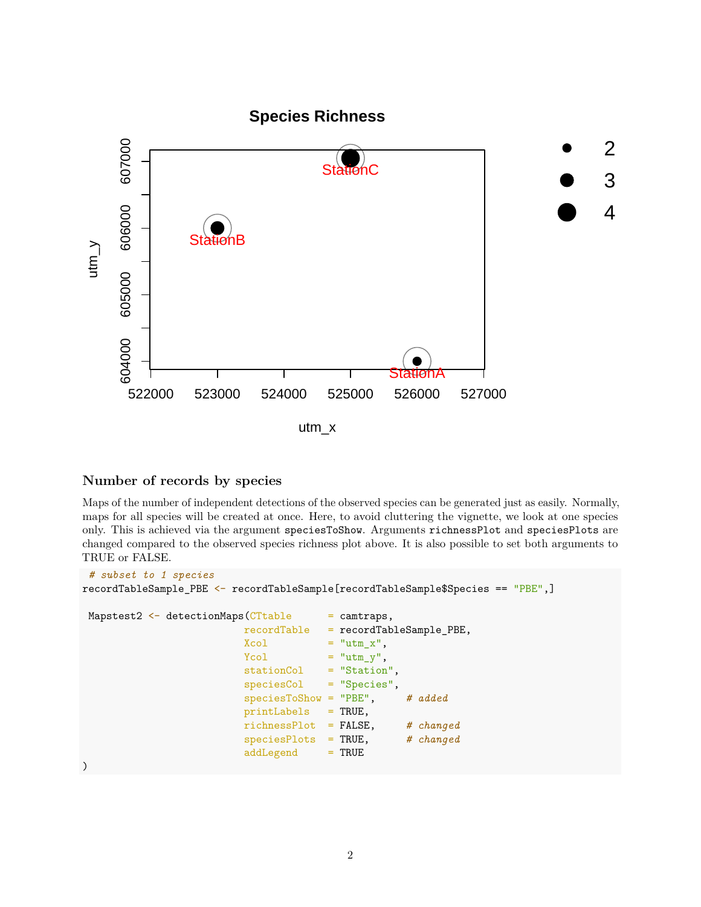

## **Number of records by species**

Maps of the number of independent detections of the observed species can be generated just as easily. Normally, maps for all species will be created at once. Here, to avoid cluttering the vignette, we look at one species only. This is achieved via the argument speciesToShow. Arguments richnessPlot and speciesPlots are changed compared to the observed species richness plot above. It is also possible to set both arguments to TRUE or FALSE.

```
# subset to 1 species
recordTableSample_PBE <- recordTableSample[recordTableSample$Species == "PBE",]
Mapstest2 \leftarrow detectionMaps(CTtable = camtraps,
                        recordTable = recordTableSample_PBE,
                        Xcol = "utm_x",Ycol = "utm_y",stationCol = "Station",
                        speciesCol = "Species",
                        speciesToShow = "PBE", # added
                        printLabels = TRUE,
                        richnessPlot = FALSE, # changed
                        speciesPlots = TRUE, # changed
                        addLegend = TRUE
)
```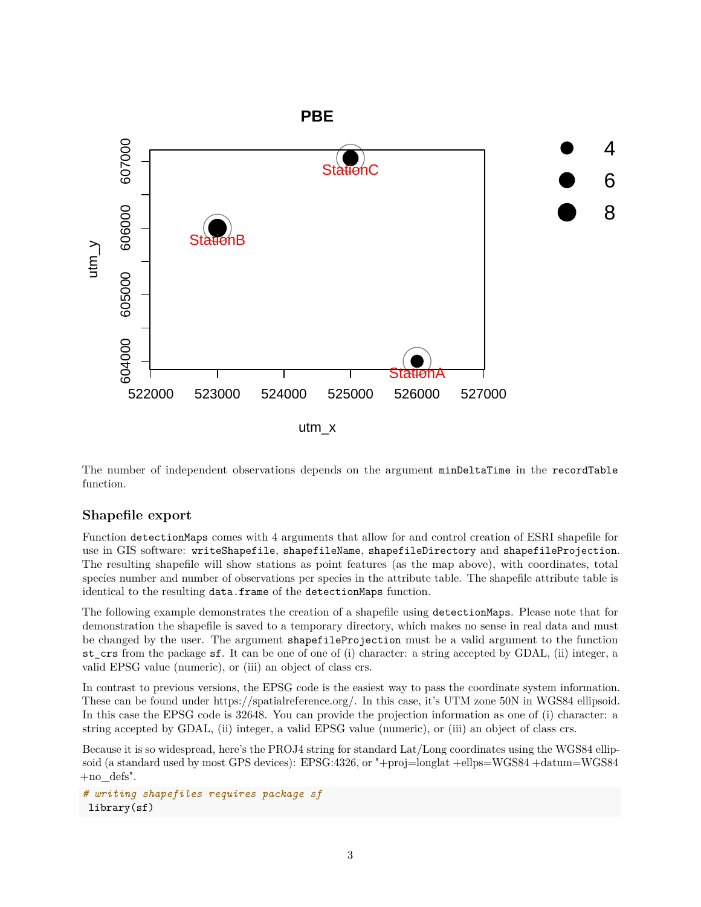

The number of independent observations depends on the argument minDeltaTime in the recordTable function.

#### **Shapefile export**

Function detectionMaps comes with 4 arguments that allow for and control creation of ESRI shapefile for use in GIS software: writeShapefile, shapefileName, shapefileDirectory and shapefileProjection. The resulting shapefile will show stations as point features (as the map above), with coordinates, total species number and number of observations per species in the attribute table. The shapefile attribute table is identical to the resulting data.frame of the detectionMaps function.

The following example demonstrates the creation of a shapefile using detectionMaps. Please note that for demonstration the shapefile is saved to a temporary directory, which makes no sense in real data and must be changed by the user. The argument shapefileProjection must be a valid argument to the function st\_crs from the package sf. It can be one of one of (i) character: a string accepted by GDAL, (ii) integer, a valid EPSG value (numeric), or (iii) an object of class crs.

In contrast to previous versions, the EPSG code is the easiest way to pass the coordinate system information. These can be found under [https://spatialreference.org/.](https://spatialreference.org/) In this case, it's UTM zone 50N in WGS84 ellipsoid. In this case the EPSG code is 32648. You can provide the projection information as one of (i) character: a string accepted by GDAL, (ii) integer, a valid EPSG value (numeric), or (iii) an object of class crs.

Because it is so widespread, here's the PROJ4 string for standard Lat/Long coordinates using the WGS84 ellipsoid (a standard used by most GPS devices): EPSG:4326, or "+proj=longlat +ellps=WGS84 +datum=WGS84 +no\_defs".

*# writing shapefiles requires package sf* library(sf)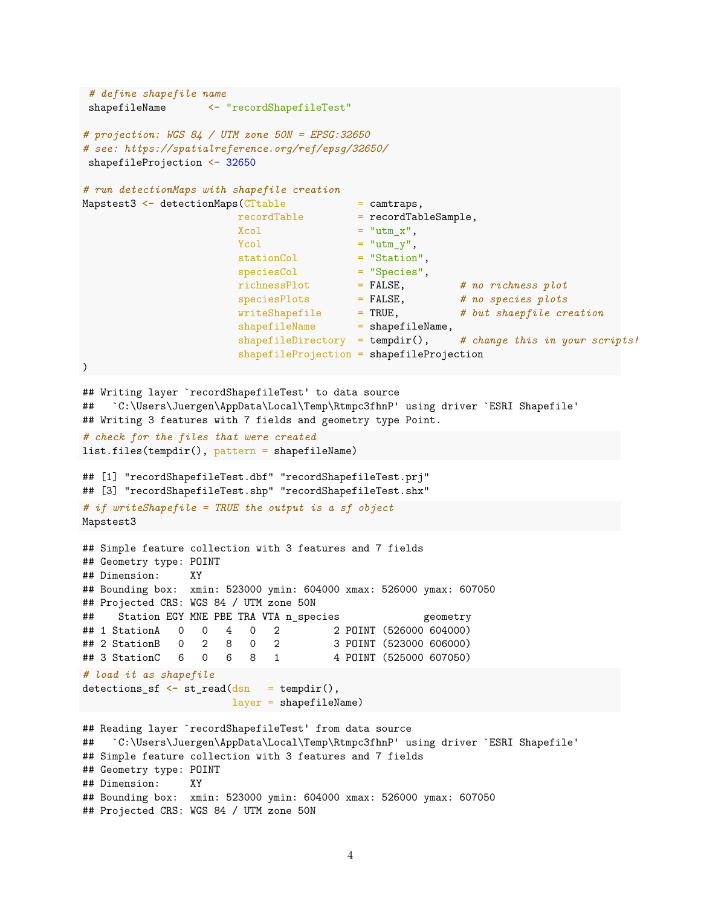```
# define shapefile name
 shapefileName <- "recordShapefileTest"
# projection: WGS 84 / UTM zone 50N = EPSG:32650
# see: https://spatialreference.org/ref/epsg/32650/
shapefileProjection <- 32650
# run detectionMaps with shapefile creation
Mapstest3 <- detectionMaps(CTtable = camtraps,
                        recordTable = recordTableSample,
                        Xcol = "utm_x",
                        Ycol = "utm_y",stationCol = "Station",
                        speciesCol = "Species",
                        richnessPlot = FALSE, # no richness plot
                        speciesPlots = FALSE, # no species plots
                       writeShapefile = TRUE, # but shaepfile creation
                       shapefileName = shapefileName,
                       shapefileDirectory = tempdir(), # change this in your scripts!
                       shapefileProjection = shapefileProjection
)
## Writing layer `recordShapefileTest' to data source
## `C:\Users\Juergen\AppData\Local\Temp\Rtmpc3fhnP' using driver `ESRI Shapefile'
## Writing 3 features with 7 fields and geometry type Point.
# check for the files that were created
list.files(tempdir(), pattern = shapefileName)
## [1] "recordShapefileTest.dbf" "recordShapefileTest.prj"
## [3] "recordShapefileTest.shp" "recordShapefileTest.shx"
# if writeShapefile = TRUE the output is a sf object
Mapstest3
## Simple feature collection with 3 features and 7 fields
## Geometry type: POINT
## Dimension: XY
## Bounding box: xmin: 523000 ymin: 604000 xmax: 526000 ymax: 607050
## Projected CRS: WGS 84 / UTM zone 50N
## Station EGY MNE PBE TRA VTA n_species geometry
## 1 StationA 0 0 4 0 2 2 POINT (526000 604000)
## 2 StationB 0 2 8 0 2 3 POINT (523000 606000)
## 3 StationC 6 0 6 8 1 4 POINT (525000 607050)
# load it as shapefile
determins_s f \leftarrow st_{read(dsn = tempdir(),layer = shapefileName)
## Reading layer `recordShapefileTest' from data source
## `C:\Users\Juergen\AppData\Local\Temp\Rtmpc3fhnP' using driver `ESRI Shapefile'
## Simple feature collection with 3 features and 7 fields
## Geometry type: POINT
## Dimension: XY
## Bounding box: xmin: 523000 ymin: 604000 xmax: 526000 ymax: 607050
```

```
## Projected CRS: WGS 84 / UTM zone 50N
```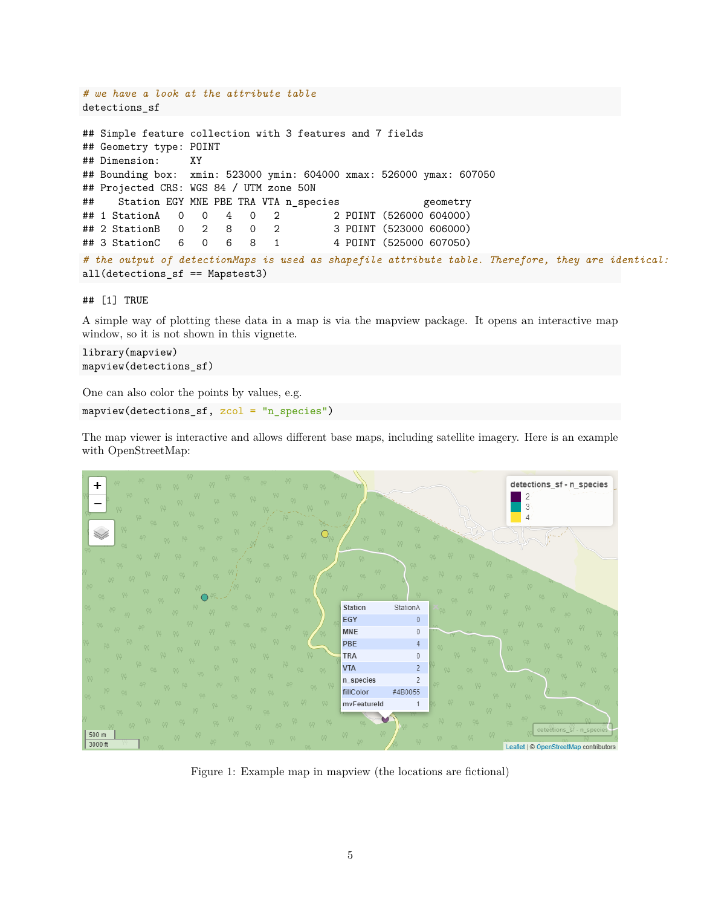```
# we have a look at the attribute table
detections_sf
## Simple feature collection with 3 features and 7 fields
## Geometry type: POINT
## Dimension: XY
## Bounding box: xmin: 523000 ymin: 604000 xmax: 526000 ymax: 607050
## Projected CRS: WGS 84 / UTM zone 50N
## Station EGY MNE PBE TRA VTA n_species geometry
## 1 StationA 0 0 4 0 2 2 POINT (526000 604000)
## 2 StationB 0 2 8 0 2 3 POINT (523000 606000)
## 3 StationC 6 0 6 8 1 4 POINT (525000 607050)
# the output of detectionMaps is used as shapefile attribute table. Therefore, they are identical:
all(detections_sf == Mapstest3)
```
#### ## [1] TRUE

A simple way of plotting these data in a map is via the mapview package. It opens an interactive map window, so it is not shown in this vignette.

```
library(mapview)
mapview(detections_sf)
```
One can also color the points by values, e.g.

mapview(detections\_sf, zcol = "n\_species")

The map viewer is interactive and allows different base maps, including satellite imagery. Here is an example with OpenStreetMap:



Figure 1: Example map in mapview (the locations are fictional)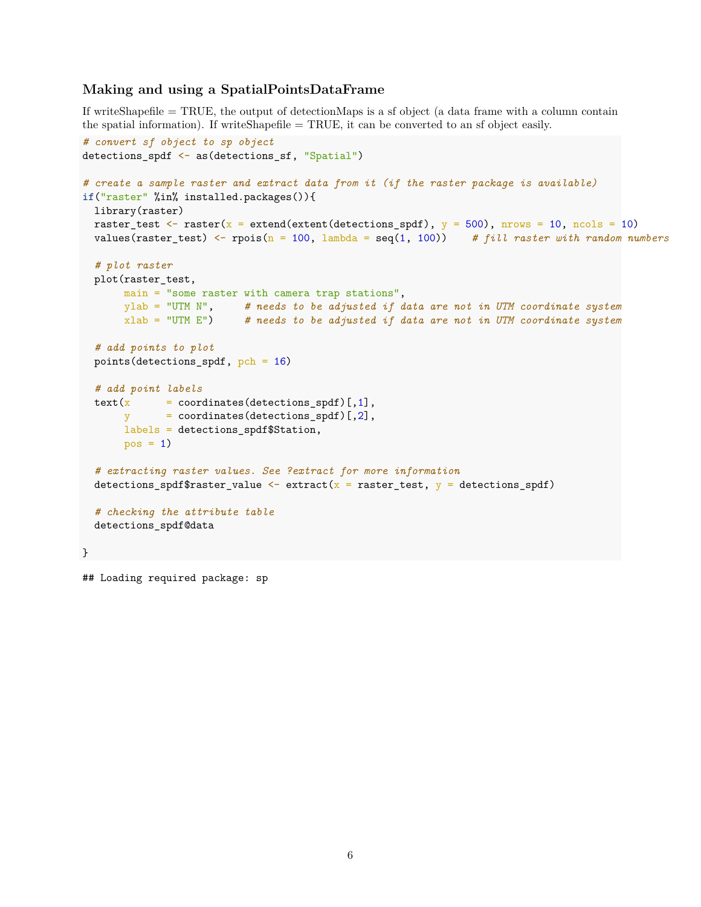### **Making and using a SpatialPointsDataFrame**

If writeShapefile = TRUE, the output of detectionMaps is a sf object (a data frame with a column contain the spatial information). If writeShapefile = TRUE, it can be converted to an sf object easily.

```
# convert sf object to sp object
detections_spdf <- as(detections_sf, "Spatial")
# create a sample raster and extract data from it (if the raster package is available)
if("raster" %in% installed.packages()){
 library(raster)
 raster_test \le raster(x = extend(extent(detections_spdf), y = 500), nrows = 10, ncols = 10)
 values(raster_test) <- rpois(n = 100, lambda = seq(1, 100)) # fill raster with random numbers
  # plot raster
 plot(raster_test,
      main = "some raster with camera trap stations",
      ylab = "UTM N", # needs to be adjusted if data are not in UTM coordinate system
      xlab = "UTM E") # needs to be adjusted if data are not in UTM coordinate system
  # add points to plot
  points(detections_spdf, pch = 16)
  # add point labels
  text(x = coordinates(detections_spdf)[,1],
             y = coordinates(detections_spdf)[,2],
      labels = detections_spdf$Station,
      pos = 1)# extracting raster values. See ?extract for more information
  detections_spdf$raster_value <- extract(x =raster_test, y = detections_spdf)
  # checking the attribute table
  detections_spdf@data
}
```
## Loading required package: sp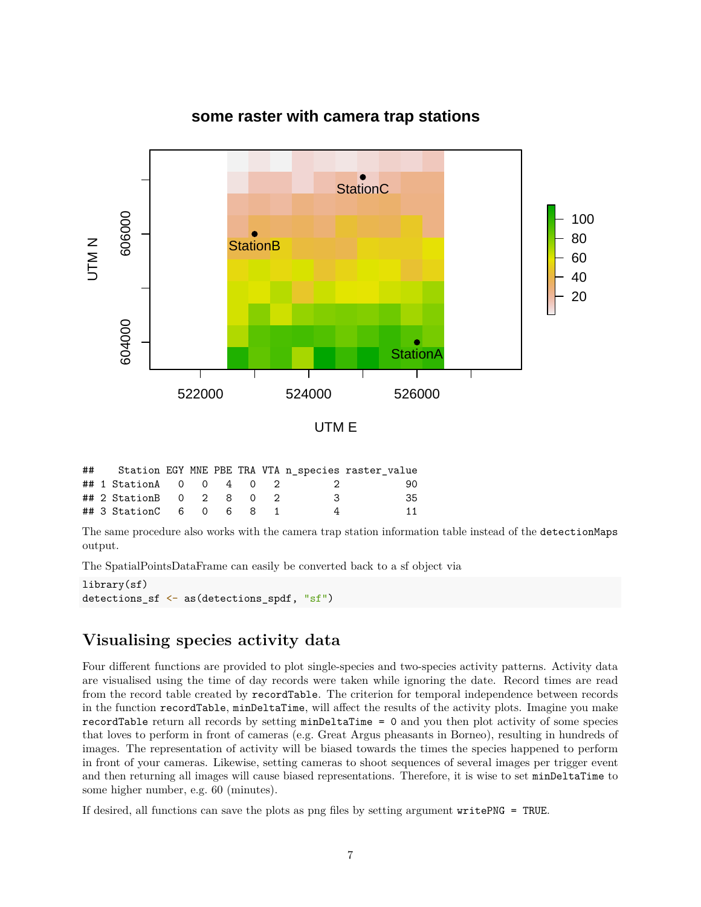

# **some raster with camera trap stations**

|  |                         |  |  |     | ## Station EGY MNE PBE TRA VTA n_species raster_value |
|--|-------------------------|--|--|-----|-------------------------------------------------------|
|  | ## 1 StationA 0 0 4 0 2 |  |  | - 2 | 90.                                                   |
|  | ## 2 StationB 0 2 8 0 2 |  |  | -3  | 35.                                                   |
|  | ## 3 StationC 6 0 6 8 1 |  |  |     | 11                                                    |

The same procedure also works with the camera trap station information table instead of the detectionMaps output.

The SpatialPointsDataFrame can easily be converted back to a sf object via

```
library(sf)
detections_sf <- as(detections_spdf, "sf")
```
# **Visualising species activity data**

Four different functions are provided to plot single-species and two-species activity patterns. Activity data are visualised using the time of day records were taken while ignoring the date. Record times are read from the record table created by recordTable. The criterion for temporal independence between records in the function recordTable, minDeltaTime, will affect the results of the activity plots. Imagine you make recordTable return all records by setting minDeltaTime = 0 and you then plot activity of some species that loves to perform in front of cameras (e.g. Great Argus pheasants in Borneo), resulting in hundreds of images. The representation of activity will be biased towards the times the species happened to perform in front of your cameras. Likewise, setting cameras to shoot sequences of several images per trigger event and then returning all images will cause biased representations. Therefore, it is wise to set minDeltaTime to some higher number, e.g. 60 (minutes).

If desired, all functions can save the plots as png files by setting argument writePNG = TRUE.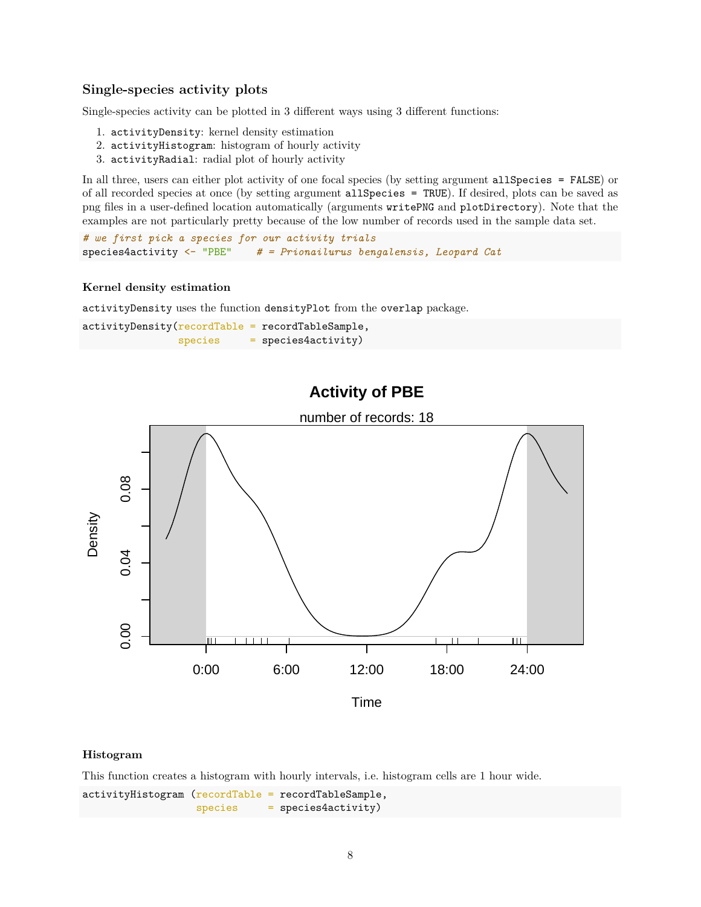#### **Single-species activity plots**

Single-species activity can be plotted in 3 different ways using 3 different functions:

- 1. activityDensity: kernel density estimation
- 2. activityHistogram: histogram of hourly activity
- 3. activityRadial: radial plot of hourly activity

In all three, users can either plot activity of one focal species (by setting argument allSpecies = FALSE) or of all recorded species at once (by setting argument allSpecies = TRUE). If desired, plots can be saved as png files in a user-defined location automatically (arguments writePNG and plotDirectory). Note that the examples are not particularly pretty because of the low number of records used in the sample data set.

```
# we first pick a species for our activity trials
species4activity <- "PBE" # = Prionailurus bengalensis, Leopard Cat
```
#### **Kernel density estimation**

activityDensity uses the function densityPlot from the overlap package.

| $activityDensity(recordTable = recordTableSample,$ |                           |
|----------------------------------------------------|---------------------------|
| species                                            | $=$ species $4$ activity) |

# **Activity of PBE**



#### **Histogram**

This function creates a histogram with hourly intervals, i.e. histogram cells are 1 hour wide.

activityHistogram (recordTable = recordTableSample, species = species4activity)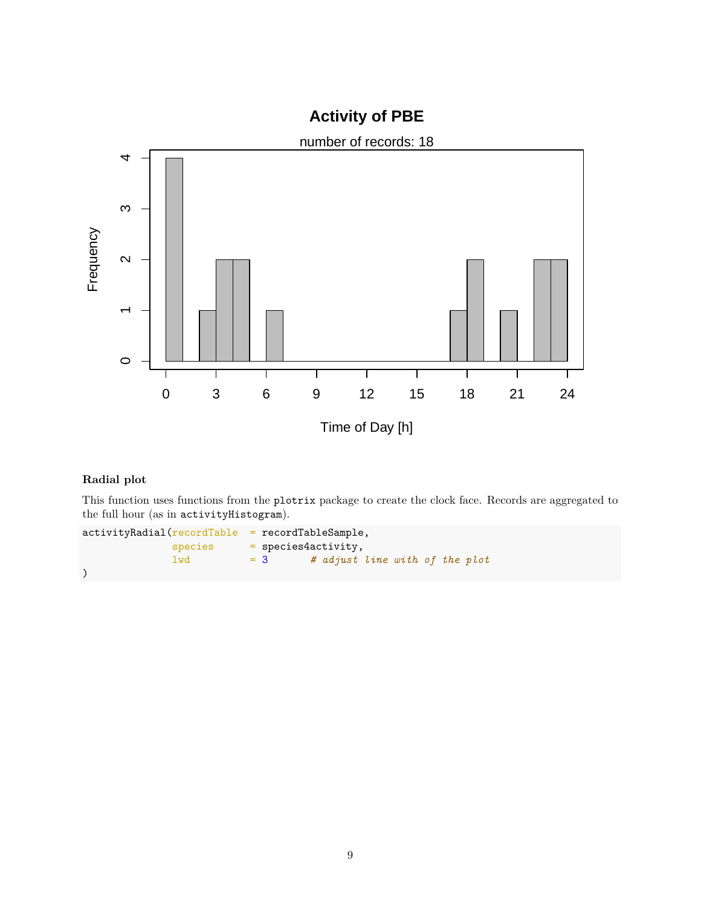![](_page_8_Figure_0.jpeg)

# **Radial plot**

This function uses functions from the plotrix package to create the clock face. Records are aggregated to the full hour (as in activityHistogram).

```
activityRadial(recordTable = recordTableSample,
            species = species4activity,
            lwd = 3 # adjust line with of the plot
)
```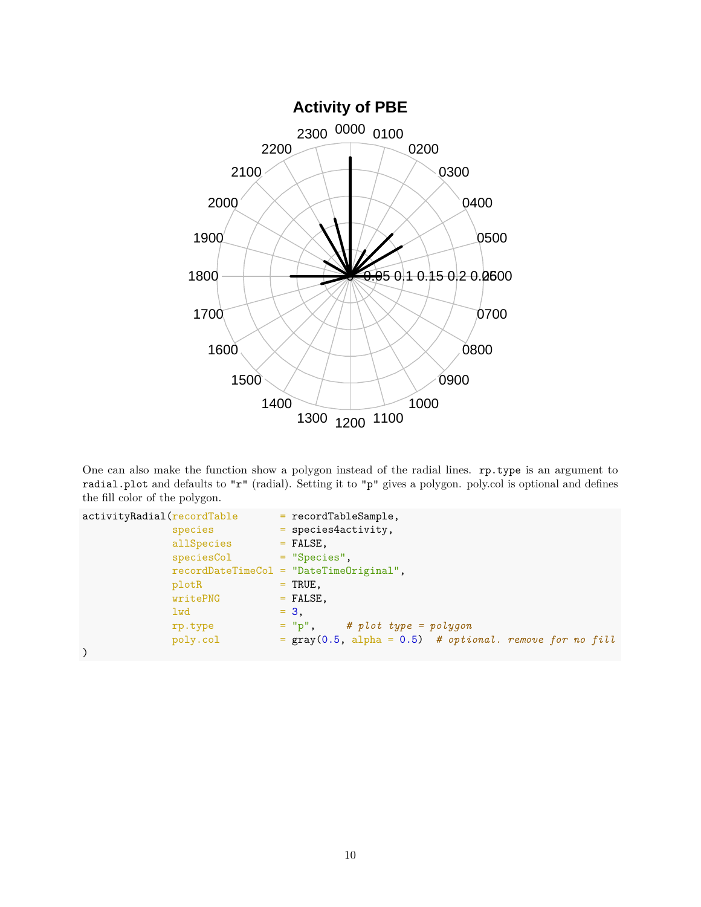![](_page_9_Figure_0.jpeg)

One can also make the function show a polygon instead of the radial lines. rp.type is an argument to radial.plot and defaults to "r" (radial). Setting it to "p" gives a polygon. poly.col is optional and defines the fill color of the polygon.

```
activityRadial(recordTable  = recordTablespecies = species4activity,
           allSpecies = FALSE,
           speciesCol = "Species",
           recordDateTimeCol = "DateTimeOriginal",
           plotR = TRUE,
           writePNG = FALSE,1wd = 3,
           rp.type = "p", # plot type = polygon
           poly.col = gray(0.5, alpha = 0.5) # optional. remove for no fill
)
```
10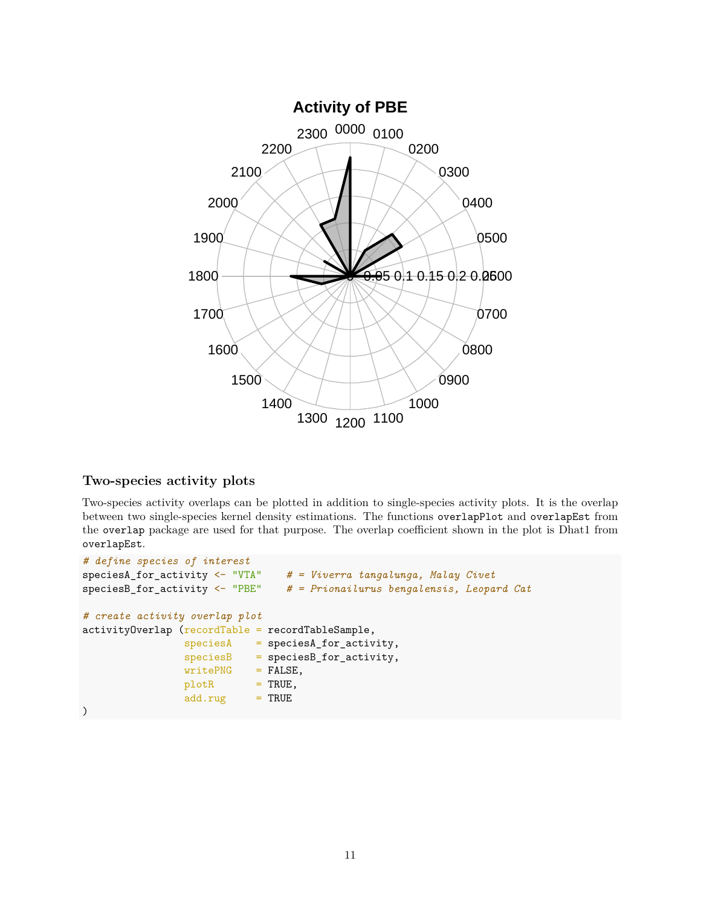![](_page_10_Figure_0.jpeg)

## **Two-species activity plots**

Two-species activity overlaps can be plotted in addition to single-species activity plots. It is the overlap between two single-species kernel density estimations. The functions overlapPlot and overlapEst from the overlap package are used for that purpose. The overlap coefficient shown in the plot is Dhat1 from overlapEst.

```
# define species of interest
speciesA_for_activity <- "VTA" # = Viverra tangalunga, Malay Civet
speciesB_for_activity <- "PBE" # = Prionailurus bengalensis, Leopard Cat
# create activity overlap plot
activityOverlap (recordTable = recordTableSample,
                speciesA = speciesA_for_activity,
                species = speciesB_for_activity,writePNG = FALSE,plotR = TRUE,
                add.rug = TRUE)
```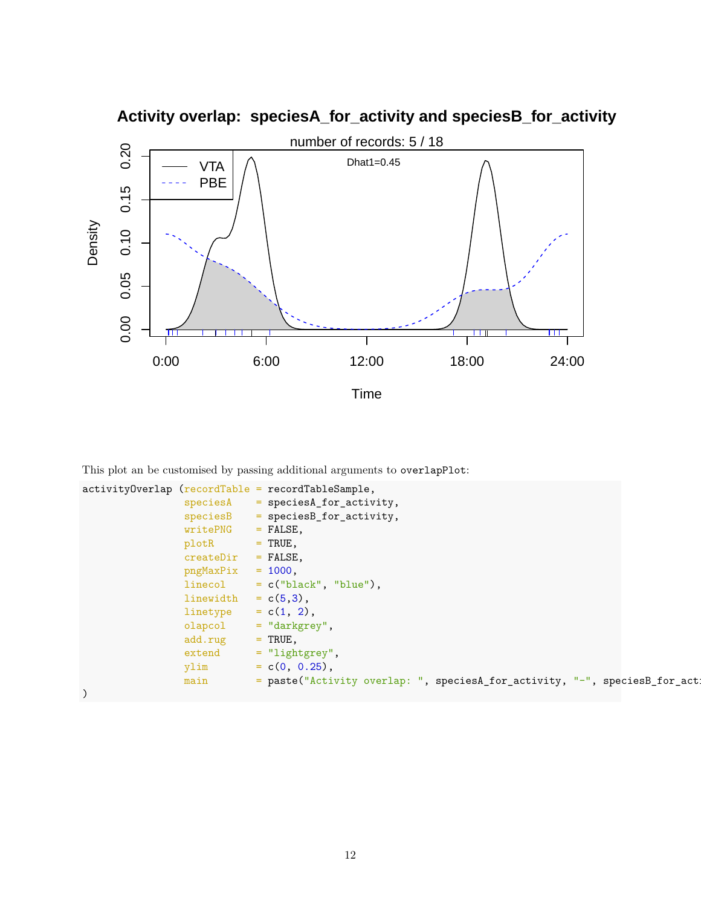![](_page_11_Figure_0.jpeg)

**Activity overlap: speciesA\_for\_activity and speciesB\_for\_activity**

This plot an be customised by passing additional arguments to overlapPlot:

```
activityOverlap (recordTable = recordTableSample,
               speciesA = speciesA_for_activity,
               species = speciesB\_for\_activity,writePNG = FALSE,plotR = TRUE,createDir = FALSE,
               pngMaxFix = 1000,linecol = c("black", "blue"),linewidth = c(5,3),linetype = c(1, 2),
               olapcol = "darkgrey",
               add.rug = TRUE,extend = "lightgrey",ylim = c(0, 0.25),main = paste("Activity overlap: ", speciesA_for_activity, "-", speciesB_for_act
)
```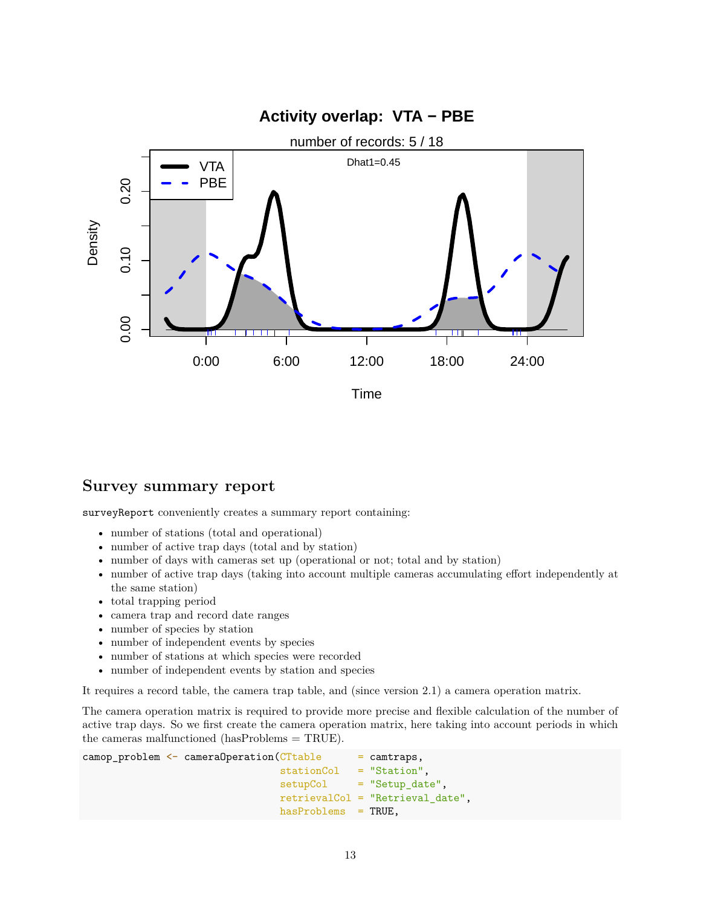![](_page_12_Figure_0.jpeg)

# **Survey summary report**

surveyReport conveniently creates a summary report containing:

- number of stations (total and operational)
- number of active trap days (total and by station)
- number of days with cameras set up (operational or not; total and by station)
- number of active trap days (taking into account multiple cameras accumulating effort independently at the same station)
- total trapping period
- camera trap and record date ranges
- number of species by station
- number of independent events by species
- number of stations at which species were recorded
- number of independent events by station and species

It requires a record table, the camera trap table, and (since version 2.1) a camera operation matrix.

The camera operation matrix is required to provide more precise and flexible calculation of the number of active trap days. So we first create the camera operation matrix, here taking into account periods in which the cameras malfunctioned (hasProblems = TRUE).

```
\texttt{camp\_problem} \leq \texttt{camenOperation}(\texttt{CTable} \leq \texttt{camtraps},stationCol = "Station",
                                       setupCol = "Setup_date",
                                       retrievalCol = "Retrieval_date",
                                       hasProblems = TRUE,
```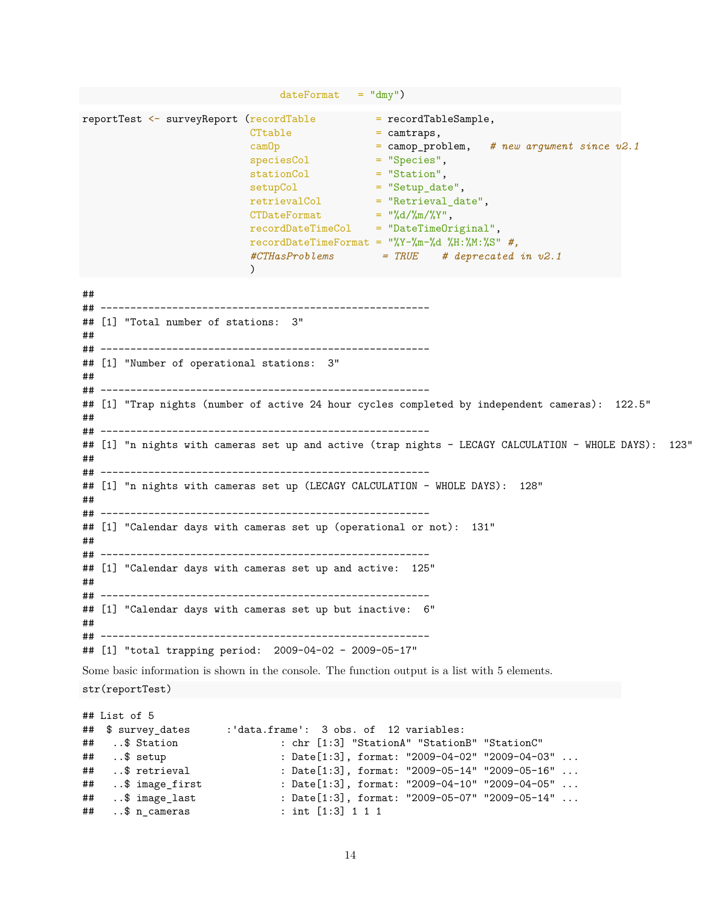|                                        | $dateFormat = "dmy")$                                                                                                                                                                                                                                                                                                                                                                                                                                                                                                                                                                                                                                  |  |  |  |  |  |  |  |  |  |  |
|----------------------------------------|--------------------------------------------------------------------------------------------------------------------------------------------------------------------------------------------------------------------------------------------------------------------------------------------------------------------------------------------------------------------------------------------------------------------------------------------------------------------------------------------------------------------------------------------------------------------------------------------------------------------------------------------------------|--|--|--|--|--|--|--|--|--|--|
|                                        | $\texttt{reportTest} \ \texttt{<=} \ \texttt{surveyReport} \ \texttt{(recordTable} \ \texttt{==} \ \texttt{recordTableSample},$<br>CTtable<br>$=$ camtraps,<br>camOp<br>$=$ camop_problem, # new argument since $v2.1$<br>$=$ "Species",<br>speciesCol<br>$=$ "Station",<br>stationCol<br>$=$ "Setup_date",<br>setupCol<br>retrievalCol<br>$=$ "Retrieval_date",<br>CTDateFormat = $\sqrt{\frac{d}{m}}/ \sqrt[m]{r}}$<br>$recordDateTimeCol = "DateTimeOriginal",$<br>recordDateTimeFormat = $\frac{9}{8}Y-\frac{9}{10}-\frac{7}{10}d\frac{9}{10}H:\frac{9}{10}N:\frac{9}{10}S''$ #,<br>$\#CTHasProblems = TRUE$ # deprecated in v2.1<br>$\mathcal{C}$ |  |  |  |  |  |  |  |  |  |  |
| ##                                     |                                                                                                                                                                                                                                                                                                                                                                                                                                                                                                                                                                                                                                                        |  |  |  |  |  |  |  |  |  |  |
| ##                                     | ## [1] "Total number of stations: 3"                                                                                                                                                                                                                                                                                                                                                                                                                                                                                                                                                                                                                   |  |  |  |  |  |  |  |  |  |  |
| ##                                     | ## [1] "Number of operational stations: 3"                                                                                                                                                                                                                                                                                                                                                                                                                                                                                                                                                                                                             |  |  |  |  |  |  |  |  |  |  |
| ##                                     | ## [1] "Trap nights (number of active 24 hour cycles completed by independent cameras): 122.5"                                                                                                                                                                                                                                                                                                                                                                                                                                                                                                                                                         |  |  |  |  |  |  |  |  |  |  |
| ##                                     | ## [1] "n nights with cameras set up and active (trap nights - LECAGY CALCULATION - WHOLE DAYS): 123"                                                                                                                                                                                                                                                                                                                                                                                                                                                                                                                                                  |  |  |  |  |  |  |  |  |  |  |
| ##                                     | ## [1] "n nights with cameras set up (LECAGY CALCULATION - WHOLE DAYS): 128"                                                                                                                                                                                                                                                                                                                                                                                                                                                                                                                                                                           |  |  |  |  |  |  |  |  |  |  |
| ##                                     | ## [1] "Calendar days with cameras set up (operational or not): 131"                                                                                                                                                                                                                                                                                                                                                                                                                                                                                                                                                                                   |  |  |  |  |  |  |  |  |  |  |
| ##                                     | ## [1] "Calendar days with cameras set up and active: 125"                                                                                                                                                                                                                                                                                                                                                                                                                                                                                                                                                                                             |  |  |  |  |  |  |  |  |  |  |
| ##                                     | ## [1] "Calendar days with cameras set up but inactive:<br>6"<br>## -----                                                                                                                                                                                                                                                                                                                                                                                                                                                                                                                                                                              |  |  |  |  |  |  |  |  |  |  |
|                                        | ## [1] "total trapping period: 2009-04-02 - 2009-05-17"                                                                                                                                                                                                                                                                                                                                                                                                                                                                                                                                                                                                |  |  |  |  |  |  |  |  |  |  |
|                                        | Some basic information is shown in the console. The function output is a list with 5 elements.<br>str(reportTest)                                                                                                                                                                                                                                                                                                                                                                                                                                                                                                                                      |  |  |  |  |  |  |  |  |  |  |
| ##<br>##<br>##<br>##<br>##<br>##<br>## | ## List of 5<br>\$ survey_dates<br>:'data.frame': 3 obs. of 12 variables:<br>\$ Station<br>: chr [1:3] "StationA" "StationB" "StationC"<br>\$ setup<br>: Date[1:3], format: "2009-04-02" "2009-04-03"<br>\$ retrieval<br>: Date[1:3], format: "2009-05-14" "2009-05-16"<br>: Date[1:3], format: "2009-04-10" "2009-04-05"<br>\$ image_first<br>: Date[1:3], format: "2009-05-07" "2009-05-14"<br>\$ image_last<br>$.$ $\text{\$}$ n_cameras<br>: int $[1:3]$ 1 1 1                                                                                                                                                                                     |  |  |  |  |  |  |  |  |  |  |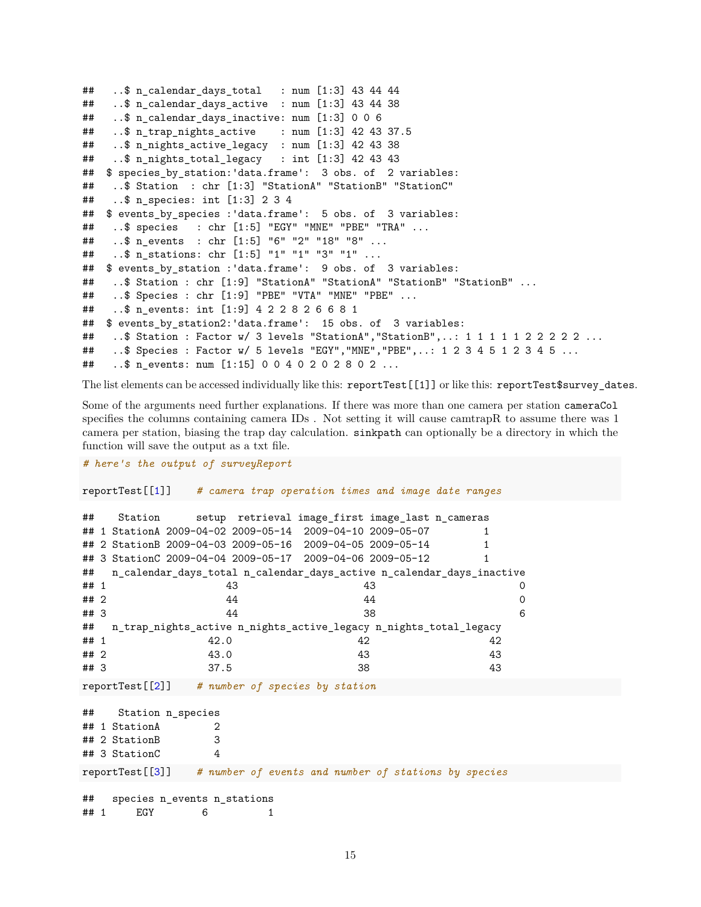```
\# ..$ n calendar days total : num [1:3] 43 44 44
## ..$ n_calendar_days_active : num [1:3] 43 44 38
\# ..$ n calendar days inactive: num [1:3] 0 0 6
## ..$ n_trap_nights_active : num [1:3] 42 43 37.5
## ..$ n_nights_active_legacy : num [1:3] 42 43 38
\# ..$ n nights total legacy : int [1:3] 42 43 43
## $ species by station: 'data.frame': 3 obs. of 2 variables:
## ..$ Station : chr [1:3] "StationA" "StationB" "StationC"
## ..$ n_species: int [1:3] 2 3 4
## $ events_by_species :'data.frame': 5 obs. of 3 variables:
## ..$ species : chr [1:5] "EGY" "MNE" "PBE" "TRA" ...
## ..$ n_events : chr [1:5] "6" "2" "18" "8" ...
## ..$ n_stations: chr [1:5] "1" "1" "3" "1" ...
## $ events_by_station :'data.frame': 9 obs. of 3 variables:
## ..$ Station : chr [1:9] "StationA" "StationA" "StationB" "StationB" ...
## ..$ Species : chr [1:9] "PBE" "VTA" "MNE" "PBE" ...
## ..$ n_events: int [1:9] 4 2 2 8 2 6 6 8 1
## $ events by station2:'data.frame': 15 obs. of 3 variables:
## ..$ Station : Factor w/ 3 levels "StationA","StationB",..: 1 1 1 1 1 2 2 2 2 2 ...
## ..$ Species : Factor w/ 5 levels "EGY", "MNE", "PBE",..: 1 2 3 4 5 1 2 3 4 5 ...
## ..$ n_events: num [1:15] 0 0 4 0 2 0 2 8 0 2 ...
```
The list elements can be accessed individually like this: reportTest[[1]] or like this: reportTest\$survey\_dates.

Some of the arguments need further explanations. If there was more than one camera per station cameraCol specifies the columns containing camera IDs . Not setting it will cause camtrapR to assume there was 1 camera per station, biasing the trap day calculation. sinkpath can optionally be a directory in which the function will save the output as a txt file.

*# here's the output of surveyReport*

reportTest[[1]] *# camera trap operation times and image date ranges*

```
## Station setup retrieval image_first image_last n_cameras
## 1 StationA 2009-04-02 2009-05-14 2009-04-10 2009-05-07 1
## 2 StationB 2009-04-03 2009-05-16 2009-04-05 2009-05-14 1
## 3 StationC 2009-04-04 2009-05-17 2009-04-06 2009-05-12 1
## n_calendar_days_total n_calendar_days_active n_calendar_days_inactive
## 1 43 43 0
## 2 0 44 44 44 0 0
## 3 44 38 6
## n_trap_nights_active n_nights_active_legacy n_nights_total_legacy
## 1 42.0 42 42 42
## 2 43.0 43 43
## 3 37.5 38 43
reportTest[[2]] # number of species by station
## Station n_species
## 1 StationA 2
## 2 StationB 3
## 3 StationC 4
reportTest[[3]] # number of events and number of stations by species
## species n_events n_stations
## 1 EGY 6 1
```